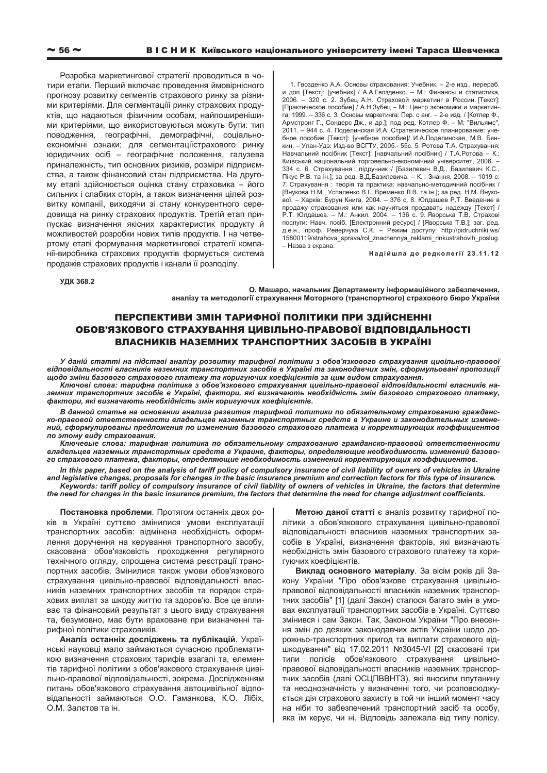Розробка маркетингової стратегії проводиться в чотири етапи. Перший включає проведення ймовірнісного прогнозу розвитку сегментів страхового ринку за різними критеріями. Для сегментаціїі ринку страхових продуктів, що надаються фізичним особам, найпоширенішими критеріями, що використовуються можуть бути: тип поводження, географічні, демографічні, соціальноекономічні ознаки; для сегментаціїстрахового ринку юридичних осіб – географічне положення, галузева приналежність, тип основних ризиків, розміри підприємства, а також фінансовий стан підприємства. На другому етапі здійснюється оцінка стану страховика - його сильних і слабких сторін, а також визначення цілей розвитку компанії, виходячи зі стану конкурентного середовища на ринку страхових продуктів. Третій етап припускає визначення якісних характеристик продукту й можливостей розробки нових типів продуктів. І на четвертому етапі формування маркетингової стратегії компанії-виробника страхових продуктів формується система продажів страхових продуктів і канали її розподілу.

1. Гвозденко А.А. Основы страхования: Учебник. – 2-е изд., перераб. и доп [Текст]: [учебник] / А.А.Гвозденко. – М.: Финансы и статистика, 2006. – 320 с. 2. Зубец А.Н. Страховой маркетинг в России. [Текст]: [Практическое пособие] / А.Н.Зубец – М.: Центр экономики и маркетинга, 1999. – 336 с. 3. Основы маркетинга: Пер. с анг. – 2-е изд. / [Котлер Ф., Армстронг Г., Сондерс Дж., и др.]; под ред. Котлер Ф. – М: "Вильямс", 2011. – 944 с. 4. Поделинская И.А. Стратегическое планирование: учебное пособие [Текст]: [учебное пособие]/ И.А.Поделинская, М.В. Бянкин. – Улан-Удэ: Изд-во ВСГТУ, 2005.- 55с. 5. Ротова Т.А. Страхування: Навчальний посібник [Текст]: [навчальний посібник] / Т.А.Ротова – К.: Київський національний торговельно-економічний університет, 2006. -334 с. 6. Страхування : підручник / [Базилевич В.Д., Базилевич К.С., Пікус Р.В. та ін.]; за ред. В.Д.Базилевича. - К.: Знання, 2008. - 1019 с. 7. Страхування : теорія та практика: навчально-методичний посібник / [Внукова Н.М., Успаленко В.І., Временко Л.В. та ін.]; за ред. Н.М. Внукової. – Харків: Бурун Книга, 2004. – 376 с. 8. Юлдашев Р.Т. Введение в продажу страхования или как научиться продавать надежду [Текст] / Р.Т. Юлдашев. – М.: Анкил, 2004. – 136 с. 9. Яворська Т.В. Страхові послуги: Навч. посіб. [Електронний ресурс] / [Яворська Т.В.]; заг. ред. д.е.н., проф. Реверчука С.К. - Режим доступу: http://pidruchniki.ws/ 15800119/strahova\_sprava/rol\_znachennya\_reklami\_rinkustrahovih\_poslug. – Назва з екрана.

Надійшла до редколегії 23.11.12

**ɍȾɄ 368.2** 

**Ɉ. Ɇɚɲɚɪɨ, ɧɚɱɚɥɶɧɢɤ Ⱦɟɩɚɪɬɚɦɟɧɬɭ ɿɧɮɨɪɦɚɰɿɣɧɨɝɨ ɡɚɛɟɡɩɟɱɟɧɧɹ,**  аналізу та методології страхування Моторного (транспортного) страхового бюро України

## ПЕРСПЕКТИВИ ЗМІН ТАРИФНОЇ ПОЛІТИКИ ПРИ ЗДІЙСНЕННІ ОБОВ'ЯЗКОВОГО СТРАХУВАННЯ ЦИВІЛЬНО-ПРАВОВОЇ ВІДПОВІДАЛЬНОСТІ ВЛАСНИКІВ НАЗЕМНИХ ТРАНСПОРТНИХ ЗАСОБІВ В УКРАЇНІ

У даній статті на підставі аналізу розвитку тарифної політики з обов'язкового страхування цивільно-правової *ɜɿɞɩɨɜɿɞɚɥɶɧɨɫɬɿ ɜɥɚɫɧɢɤɿɜ ɧɚɡɟɦɧɢɯ ɬɪɚɧɫɩɨɪɬɧɢɯ ɡɚɫɨɛɿɜ ɜ ɍɤɪɚʀɧɿ ɬɚ ɡɚɤɨɧɨɞɚɜɱɢɯ ɡɦɿɧ, ɫɮɨɪɦɭɥɶɨɜɚɧɿ ɩɪɨɩɨɡɢɰɿʀ* идодо зміни базового страхового платежу та коригуючих коефіцієнтів за цим видом страхування.

Ключові слова: тарифна політика з обов'язкового страхування цивільно-правової відповідальності власників наземних транспортних засобів в Україні, фактори, які визначають необхідність змін базового страхового платежу,  $\phi$ актори, які визначають необхідність змін коригуючих коефіцієнтів.

В данной статье на основании анализа развития тарифной политики по обязательному страхованию гражданско-правовой ответственности владельцев наземных транспортных средств в Украине и законодательных измене*ний, сформулированы предложения по изменению базового страхового платежа и корректирующих коэффициентов* до этому виду страхования.

Ключевые слова: тарифная политика по обязательному страхованию гражданско-правовой ответственности владельцев наземных транспортных средств в Украине, факторы, определяющие необходимость изменений базового страхового платежа, факторы, определяющие необходимость изменений корректирующих коэффициентов.

In this paper, based on the analysis of tariff policy of compulsory insurance of civil liability of owners of vehicles in Ukraine *and legislative changes, proposals for changes in the basic insurance premium and correction factors for this type of insurance. Keywords: tariff policy of compulsory insurance of civil liability of owners of vehicles in Ukraine, the factors that determine the need for changes in the basic insurance premium, the factors that determine the need for change adjustment coefficients.* 

Постановка проблеми. Протягом останніх двох років в Україні суттєво змінилися умови експлуатації транспортних засобів: відмінена необхідність оформлення доручення на керування транспортного засобу, скасована обов'язковість проходження регулярного технічного огляду, спрощена система реєстрації транспортних засобів. Змінилися також умови обов'язкового страхування цивільно-правової відповідальності власників наземних транспортних засобів та порядок страхових виплат за шкоду життю та здоров'ю. Все це впливає та фінансовий результат з цього виду страхування та, безумовно, має бути враховане при визначенні тарифної політики страховиків.

**Аналіз останніх досліджень та публікацій**. Українські науковці мало займаються сучасною проблематикою визначення страхових тарифів взагалі та, елементів тарифної політики з обов'язкового страхування цивільно-правової відповідальності, зокрема. Дослідженням питань обов'язкового страхування автоцивільної відповідальності займаються О.О. Гаманкова, К.О. Лібіх, О.М. Залєтов та ін.

Метою даної статті є аналіз розвитку тарифної політики з обов'язкового страхування цивільно-правової відповідальності власників наземних транспортних засобів в Україні, визначення факторів, які визначають необхідність змін базового страхового платежу та коригуючих коефіцієнтів.

Виклад основного матеріалу. За вісім років дії Закону України "Про обов'язкове страхування цивільноправової відповідальності власників наземних транспортних засобів" [1] (далі Закон) сталося багато змін в умовах експлуатації транспортних засобів в Україні. Суттєво змінився і сам Закон. Так, Законом України "Про внесення змін до деяких законодавчих актів України щодо дорожньо-транспортних пригод та виплати страхового відшкодування" від 17.02.2011 №3045-VI [2] скасовані три типи полісів обов'язкового страхування цивільноправової відповідальності власників наземних транспортних засобів (далі ОСЦПВВНТЗ), які вносили плутанину та неоднозначність у визначенні того, чи розповсюджується дія страхового захисту в той чи інший момент часу на ніби то забезпечений транспортний засіб та особу, яка їм керує, чи ні. Відповідь залежала від типу полісу.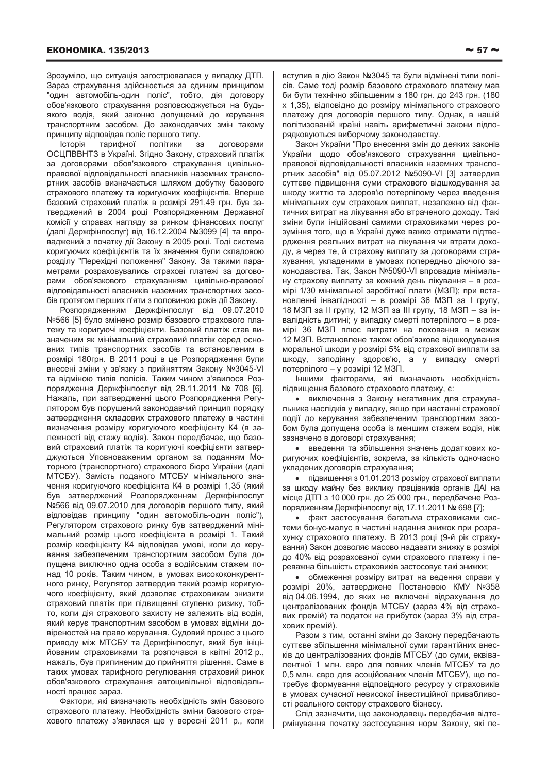Зрозуміло, що ситуація загострювалася у випадку ДТП. Зараз страхування здійснюється за єдиним принципом "один автомобіль-один поліс", тобто, дія договору обов'язкового страхування розповсюджується на будьякого водія, який законно допущений до керування транспортним засобом. До законодавчих змін такому принципу відповідав поліс першого типу.

Історія тарифної політики за договорами ОСЦПВВНТЗ в Україні. Згідно Закону, страховий платіж за договорами обов'язкового страхування цивільноправової відповідальності власників наземних транспортних засобів визначається шляхом добутку базового страхового платежу та коригуючих коефіцієнтів. Вперше базовий страховий платіж в розмірі 291,49 грн. був затверджений в 2004 році Розпорядженням Державної комісії у справах нагляду за ринком фінансових послуг (далі Держфінпослуг) від 16.12.2004 №3099 [4] та впроваджений з початку дії Закону в 2005 році. Тоді система коригуючих коефіцієнтів та їх значення були складовою розділу "Перехідні положення" Закону. За такими параметрами розраховувались страхові платежі за договорами обов'язкового страхуванням цивільно-правової відповідальності власників наземних транспортних засобів протягом перших п'яти з половиною років дії Закону.

Розпорядженням Держфінпослуг від 09.07.2010 №566 [5] було змінено розмір базового страхового платежу та коригуючі коефіцієнти. Базовий платіж став визначеним як мінімальний страховий платіж серед основних типів транспортних засобів та встановленим в розмірі 180грн. В 2011 році в це Розпорядження були внесені зміни у зв'язку з прийняттям Закону №3045-VI та відміною типів полісів. Таким чином з'явилося Розпорядження Держфінпослуг від 28.11.2011 № 708 [6]. Нажаль, при затвердженні цього Розпорядження Регулятором був порушений законодавчий принцип порядку затвердження складових страхового платежу в частині визначення розміру коригуючого коефіцієнту К4 (в залежності від стажу водія). Закон передбачає, що базовий страховий платіж та коригуючі коефіцієнти затверджуються Уповноваженим органом за поданням Моторного (транспортного) страхового бюро України (далі МТСБУ). Замість поданого МТСБУ мінімального значення коригуючого коефіцієнта К4 в розмірі 1,35 (який був затверджений Розпорядженням Держфінпослуг №566 від 09.07.2010 для договорів першого типу, який відповідав принципу "один автомобіль-один поліс"), Регулятором страхового ринку був затверджений мінімальний розмір цього коефіцієнта в розмірі 1. Такий розмір коефіцієнту К4 відповідав умові, коли до керування забезпеченим транспортним засобом була допущена виключно одна особа з водійським стажем понад 10 років. Таким чином, в умовах висококонкурентного ринку, Регулятор затвердив такий розмір коригуючого коефіцієнту, який дозволяє страховикам знизити страховий платіж при підвищенні ступеню ризику, тобто, коли дія страхового захисту не залежить від водія, який керує транспортним засобом в умовах відміни довіреностей на право керування. Судовий процес з цього приводу між МТСБУ та Держфінпослуг, який був ініційованим страховиками та розпочався в квітні 2012 р., нажаль, був припиненим до прийняття рішення. Саме в таких умовах тарифного регулювання страховий ринок обов'язкового страхування автоцивільної відповідаль-HOCTI DDALIJOE 38D83.

Фактори, які визначають необхідність змін базового страхового платежу. Необхідність зміни базового страхового платежу з'явилася ще у вересні 2011 р., коли

вступив в дію Закон №3045 та були відмінені типи полісів. Саме тоді розмір базового страхового платежу мав би бути технічно збільшеним з 180 грн. до 243 грн. (180 х 1,35), відповідно до розміру мінімального страхового платежу для договорів першого типу. Однак, в нашій політизованій країні навіть арифметичні закони підпорядковуються виборчому законодавству.

Закон України "Про внесення змін до деяких законів України щодо обов'язкового страхування цивільноправової відповідальності власників наземних транспортних засобів" від 05.07.2012 №5090-VI [3] затвердив суттєве підвищення суми страхового відшкодування за шкоду життю та здоров'ю потерпілому через введення мінімальних сум страхових виплат, незалежно від фактичних витрат на лікування або втраченого доходу. Такі зміни були ініційовані самими страховиками через розуміння того, що в Україні дуже важко отримати підтвердження реальних витрат на лікування чи втрати доходу, а через те, й страхову виплату за договорами страхування, укладеними в умовах попередньо діючого законодавства. Так, Закон №5090-VI впровадив мінімальну страхову виплату за кожний день лікування - в розмірі 1/30 мінімальної заробітної плати (МЗП); при встановленні інвалідності – в розмірі 36 МЗП за І групу, 18 МЗП за II групу, 12 МЗП за III групу, 18 МЗП - за інвалідність дитині; у випадку смерті потерпілого – в розмірі 36 МЗП плюс витрати на поховання в межах 12 МЗП. Встановлене також обов'язкове відшкодування моральної шкоди у розмірі 5% від страхової виплати за шкоду, заподіяну здоров'ю, а у випадку смерті потерпілого – у розмірі 12 МЗП.

Іншими факторами, які визначають необхідність підвишення базового страхового платежу, є:

• виключення з Закону негативних для страхувальника наслідків у випадку, якщо при настанні страхової події до керування забезпеченим транспортним засобом була допущена особа із меншим стажем водія, ніж зазначено в договорі страхування:

• введення та збільшення значень додаткових коригуючих коефіцієнтів, зокрема, за кількість одночасно укладених договорів страхування;

• підвищення з 01.01.2013 розміру страхової виплати за шкоду майну без виклику працівників органів ДАІ на місце ДТП з 10 000 грн. до 25 000 грн., передбачене Розпорядженням Держфінпослуг від 17.11.2011 № 698 [7];

• факт застосування багатьма страховиками системи бонус-малус в частині надання знижок при розрахунку страхового платежу. В 2013 році (9-й рік страхування) Закон дозволяє масово надавати знижку в розмірі до 40% від розрахованої суми страхового платежу і переважна більшість страховиків застосовує такі знижки;

• обмеження розміру витрат на ведення справи у розмірі 20%, затверджене Постановою КМУ №358 від 04.06.1994, до яких не включені відрахування до централізованих фондів МТСБУ (зараз 4% від страхових премій) та податок на прибуток (зараз 3% від страхових премій).

Разом з тим, останні зміни до Закону передбачають суттєве збільшення мінімальної суми гарантійних внесків до централізованих фондів МТСБУ (до суми, еквівалентної 1 млн. євро для повних членів МТСБУ та до 0,5 млн. євро для асоційованих членів МТСБУ), що потребує формування відповідного ресурсу у страховиків в умовах сучасної невисокої інвестиційної привабливості реального сектору страхового бізнесу.

Слід зазначити, що законодавець передбачив відтермінування початку застосування норм Закону, які пе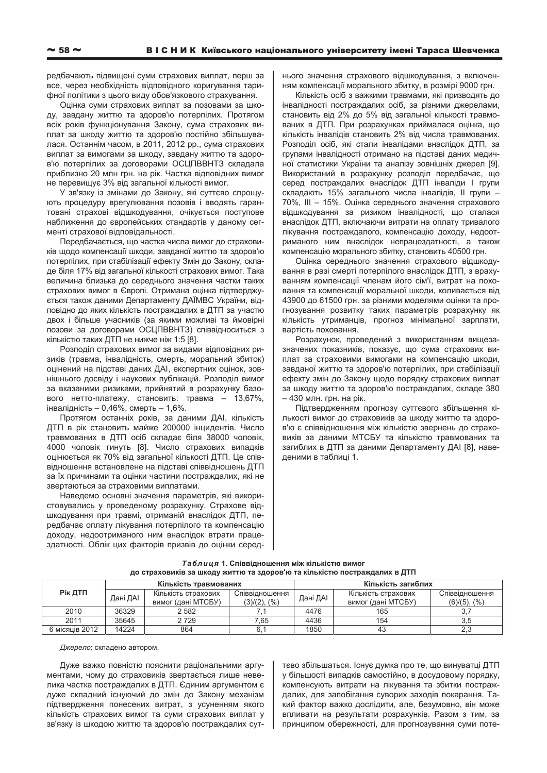редбачають підвищені суми страхових виплат, перш за все, через необхідність відповідного коригування тарифної політики з цього виду обов'язкового страхування.

Оцінка суми страхових виплат за позовами за шкоду, завдану життю та здоров'ю потерпілих. Протягом всіх років функціонування Закону, сума страхових виплат за шкоду життю та здоров'ю постійно збільшувалася. Останнім часом, в 2011, 2012 рр., сума страхових виплат за вимогами за шкоду, завдану життю та здоров'ю потерпілих за договорами ОСЦПВВНТЗ складала приблизно 20 млн грн. на рік. Частка відповідних вимог не перевищує 3% від загальної кількості вимог.

У зв'язку із змінами до Закону, які суттєво спрощують процедуру врегулювання позовів і вводять гарантовані страхові відшкодування, очікується поступове наближення до європейських стандартів у даному сегменті страхової відповідальності.

Передбачається, що частка числа вимог до страховиків щодо компенсації шкоди, завданої життю та здоров'ю потерпілих, при стабілізації ефекту Змін до Закону, складе біля 17% від загальної кількості страхових вимог. Така величина близька до середнього значення частки таких страхових вимог в Європі. Отримана оцінка підтверджується також даними Департаменту ДАЇМВС України, відповідно до яких кількість постраждалих в ДТП за участю двох і більше учасників (за якими можливі та ймовірні позови за договорами ОСЦПВВНТЗ) співвідноситься з кількістю таких ДТП не нижче ніж 1:5 [8].

Розподіл страхових вимог за видами відповідних ризиків (травма, інвалідність, смерть, моральний збиток) оцінений на підставі даних ДАІ, експертних оцінок, зовнішнього досвіду і наукових публікацій. Розподіл вимог за вказаними ризиками, прийнятий в розрахунку базового нетто-платежу, становить: травма – 13,67%, інвалідність – 0,46%, смерть – 1,6%.

Протягом останніх років, за даними ДАІ, кількість ДТП в рік становить майже 200000 інцидентів. Число травмованих в ДТП осіб складає біля 38000 чоловік, 4000 чоловік гинуть [8]. Число страхових випадків оцінюється як 70% від загальної кількості ДТП. Це співвідношення встановлене на підставі співвідношень ДТП за їх причинами та оцінки частини постраждалих, які не звертаються за страховими виплатами.

Наведемо основні значення параметрів, які використовувались у проведеному розрахунку. Страхове відшкодування при травмі, отриманій внаслідок ДТП, передбачає оплату лікування потерпілого та компенсацію доходу, недоотриманого ним внаслідок втрати працездатності. Облік цих факторів призвів до оцінки середнього значення страхового відшкодування, з включенням компенсації морального збитку, в розмірі 9000 грн.

Кількість осіб з важкими травмами, які призводять до інвалідності постраждалих осіб, за різними джерелами, становить від 2% до 5% від загальної кількості травмованих в ДТП. При розрахунках приймалася оцінка, що кількість інвалідів становить 2% від числа травмованих. Розподіл осіб, які стали інвалідами внаслідок ДТП, за групами інвалідності отримано на підставі даних медичної статистики України та аналізу зовнішніх джерел [9]. Використаний в розрахунку розподіл передбачає, що серед постраждалих внаслідок ДТП інваліди I групи складають 15% загального числа інвалідів, II групи – 70%, III – 15%. Оцінка середнього значення страхового відшкодування за ризиком інвалідності, що сталася внаслідок ДТП, включаючи витрати на оплату тривалого лікування постраждалого, компенсацію доходу, недоотриманого ним внаслідок непрацездатності, а також компенсацію морального збитку, становить 40500 грн.

Оцінка середнього значення страхового відшкодування в разі смерті потерпілого внаслідок ДТП, з врахуванням компенсації членам його сім'ї, витрат на поховання та компенсації моральної шкоди, коливається від 43900 до 61500 грн. за різними моделями оцінки та прогнозування розвитку таких параметрів розрахунку як кількість утриманців, прогноз мінімальної зарплати, вартість поховання.

Розрахунок, проведений з використанням вишезазначених показників, показує, що сума страхових виплат за страховими вимогами на компенсацію шкоди, завданої життю та здоров'ю потерпілих, при стабілізації ефекту змін до Закону щодо порядку страхових виплат за шкоду життю та здоров'ю постраждалих, складе 380 – 430 млн. грн. на рік.

Підтвердженням прогнозу суттєвого збільшення кількості вимог до страховиків за шкоду життю та здоров'ю є співвідношення між кількістю звернень до страховиків за даними МТСБУ та кількістю травмованих та загиблих в ДТП за даними Департаменту ДАІ [8], наведеними в таблиці 1.

| Таблиця 1. Співвідношення між кількістю вимог                             |  |
|---------------------------------------------------------------------------|--|
| до страховиків за шкоду життю та здоров'ю та кількістю постраждалих в ДТП |  |

| Кількість травмованих |          |                     | Кількість загиблих |          |                     |                  |
|-----------------------|----------|---------------------|--------------------|----------|---------------------|------------------|
| Рік ДТП               | Дані ДАІ | Кількість страхових | Співвідношення     | Дані ДАІ | Кількість страхових | Співвідношення   |
|                       |          | вимог (дані МТСБУ)  | $(3)/(2)$ , $(%$   |          | вимог (дані МТСБУ)  | $(6)/(5)$ , $(%$ |
| 2010                  | 36329    | 2 5 8 2             |                    | 4476     | 165                 |                  |
| 2011                  | 35645    | 2729                | 1.65               | 4436     | 154                 | 3,5              |
| 6 місяців 2012        | 14224    | 864                 |                    | 1850     | 43                  | ن کے             |

**Лжерело: склалено автором** 

Дуже важко повністю пояснити раціональними аргументами, чому до страховиків звертається лише невелика частка постраждалих в ДТП. Єдиним аргументом є дуже складний існуючий до змін до Закону механізм підтвердження понесених витрат, з усуненням якого кількість страхових вимог та суми страхових виплат у зв'язку із шкодою життю та здоров'ю постраждалих суттєво збільшаться. Існує думка про те, що винуватці ДТП у більшості випадків самостійно, в досудовому порядку, компенсують витрати на лікування та збитки постраждалих, для запобігання суворих заходів покарання. Такий фактор важко дослідити, але, безумовно, він може впливати на результати розрахунків. Разом з тим, за принципом обережності, для прогнозування суми поте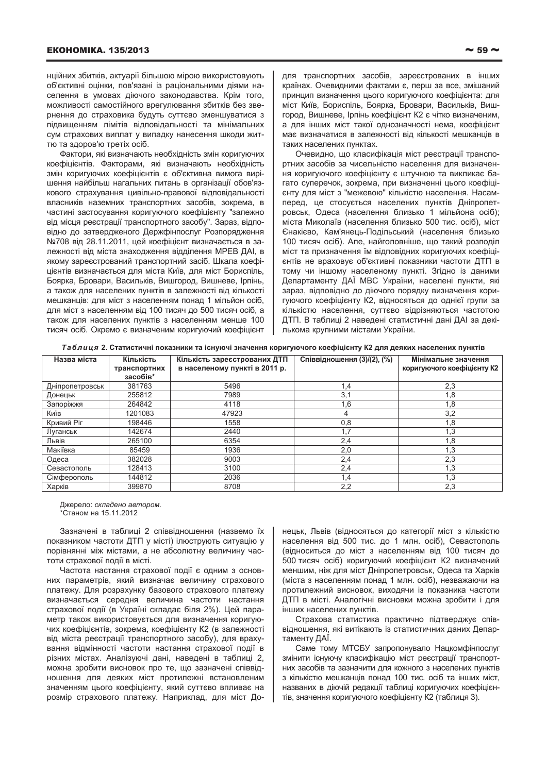нційних збитків, актуарії більшою мірою використовують об'єктивні оцінки, пов'язані із раціональними діями населення в умовах діючого законодавства. Крім того, можливості самостійного врегулювання збитків без звернення до страховика будуть суттєво зменшуватися з підвищенням лімітів відповідальності та мінімальних сум страхових виплат у випадку нанесення шкоди життю та здоров'ю третіх осіб.

Фактори, які визначають необхідність змін коригуючих коефіцієнтів. Факторами, які визначають необхідність змін коригуючих коефіцієнтів є об'єктивна вимога вирішення найбільш нагальних питань в організації обов'язкового страхування цивільно-правової відповідальності власників наземних транспортних засобів, зокрема, в частині застосування коригуючого коефіцієнту "залежно від місця реєстрації транспортного засобу". Зараз, відповідно до затвердженого Держфінпослуг Розпорядження №708 від 28.11.2011, цей коефіцієнт визначається в залежності від міста знаходження відділення МРЕВ ДАІ, в якому зареєстрований транспортний засіб. Шкала коефіцієнтів визначається для міста Київ, для міст Бориспіль, Боярка, Бровари, Васильків, Вишгород, Вишневе, Ірпінь, а також для населених пунктів в залежності від кількості мешканців: для міст з населенням понад 1 мільйон осіб, для міст з населенням від 100 тисяч до 500 тисяч осіб, а також для населених пунктів з населенням менше 100 тисяч осіб. Окремо є визначеним коригуючий коефіцієнт

для транспортних засобів, зареєстрованих в інших країнах. Очевидними фактами є, перш за все, змішаний принцип визначення цього коригуючого коефіцієнта: для міст Київ, Бориспіль, Боярка, Бровари, Васильків, Вишгород, Вишневе, Ірпінь коефіцієнт К2 є чітко визначеним, а для інших міст такої однозначності нема, коефіцієнт має визначатися в залежності від кількості мешканців в таких населених пунктах.

Очевидно, що класифікація міст реєстрації транспортних засобів за чисельністю населення для визначення коригуючого коефіцієнту є штучною та викликає багато суперечок, зокрема, при визначенні цього коефіцієнту для міст з "межевою" кількістю населення. Насамперед, це стосується населених пунктів Дніпропетровськ, Одеса (населення близько 1 мільйона осіб); міста Миколаїв (населення близько 500 тис. осіб), міст Єнакієво, Кам'янець-Подільський (населення близько 100 тисяч осіб). Але, найголовніше, що такий розподіл міст та призначення їм відповідних коригуючих коефіцієнтів не враховує об'єктивні показники частоти ДТП в тому чи іншому населеному пункті. Згідно із даними Департаменту ДАЇ МВС України, населені пункти, які зараз, відповідно до діючого порядку визначення коригуючого коефіцієнту К2, відносяться до однієї групи за кількістю населення, суттєво відрізняються частотою ДТП. В таблиці 2 наведені статистичні дані ДАІ за декількома крупними містами України.

Таблиця 2. Статистичні показники та існуючі значення коригуючого коефіцієнту К2 для деяких населених пунктів

| Назва міста     | Кількість    | Кількість зареєстрованих ДТП  | Співвідношення (3)/(2), (%) | Мінімальне значення        |
|-----------------|--------------|-------------------------------|-----------------------------|----------------------------|
|                 | транспортних | в населеному пункті в 2011 р. |                             | коригуючого коефіцієнту К2 |
|                 | засобів*     |                               |                             |                            |
| Дніпропетровськ | 381763       | 5496                          | 1,4                         | 2,3                        |
| Донецьк         | 255812       | 7989                          | 3,1                         | 1,8                        |
| Запоріжжя       | 264842       | 4118                          | 1,6                         | 1,8                        |
| Київ            | 1201083      | 47923                         | 4                           | 3,2                        |
| Кривий Ріг      | 198446       | 1558                          | 0,8                         | 1,8                        |
| Луганськ        | 142674       | 2440                          | 1,7                         | 1,3                        |
| Львів           | 265100       | 6354                          | 2,4                         | 1,8                        |
| Макіївка        | 85459        | 1936                          | 2,0                         | 1,3                        |
| Одеса           | 382028       | 9003                          | 2,4                         | 2,3                        |
| Севастополь     | 128413       | 3100                          | 2,4                         | 1,3                        |
| Сімферополь     | 144812       | 2036                          | 1,4                         | 1,3                        |
| Харків          | 399870       | 8708                          | 2,2                         | 2,3                        |

Джерело: складено автором. \*Станом на 15.11.2012

Зазначені в таблиці 2 співвідношення (назвемо їх показником частоти ДТП у місті) ілюструють ситуацію у порівнянні між містами, а не абсолютну величину частоти страхової події в місті.

Частота настання страхової події є одним з основних параметрів, який визначає величину страхового платежу. Для розрахунку базового страхового платежу визначається середня величина частоти настання страхової події (в Україні складає біля 2%). Цей параметр також використовується для визначення коригуючих коефіцієнтів, зокрема, коефіцієнту К2 (в залежності від міста реєстрації транспортного засобу), для врахування відмінності частоти настання страхової події в різних містах. Аналізуючі дані, наведені в таблиці 2, ножна зробити висновок про те, що зазначені співвідношення для деяких міст протилежні встановленим значенням цього коефіцієнту, який суттєво впливає на розмір страхового платежу. Наприклад, для міст Донецьк, Львів (відносяться до категорії міст з кількістю населення від 500 тис. до 1 млн. осіб), Севастополь (відноситься до міст з населенням від 100 тисяч до 500 тисяч осіб) коригуючий коефіцієнт К2 визначений меншим, ніж для міст Дніпропетровськ, Одеса та Харків (міста з населенням понад 1 млн. осіб), незважаючи на протилежний висновок, виходячи із показника частоти ДТП в місті. Аналогічні висновки можна зробити і для інших населених пунктів.

Страхова статистика практично підтверджує співвідношення, які витікають із статистичних даних Департаменту ДАЇ.

Саме тому МТСБУ запропонувало Нацкомфінпослуг змінити існуючу класифікацію міст реєстрації транспортних засобів та зазначити для кожного з населених пунктів з кількістю мешканців понад 100 тис. осіб та інших міст, названих в діючій редакції таблиці коригуючих коефіцієнтів, значення коригуючого коефіцієнту К2 (таблиця 3).